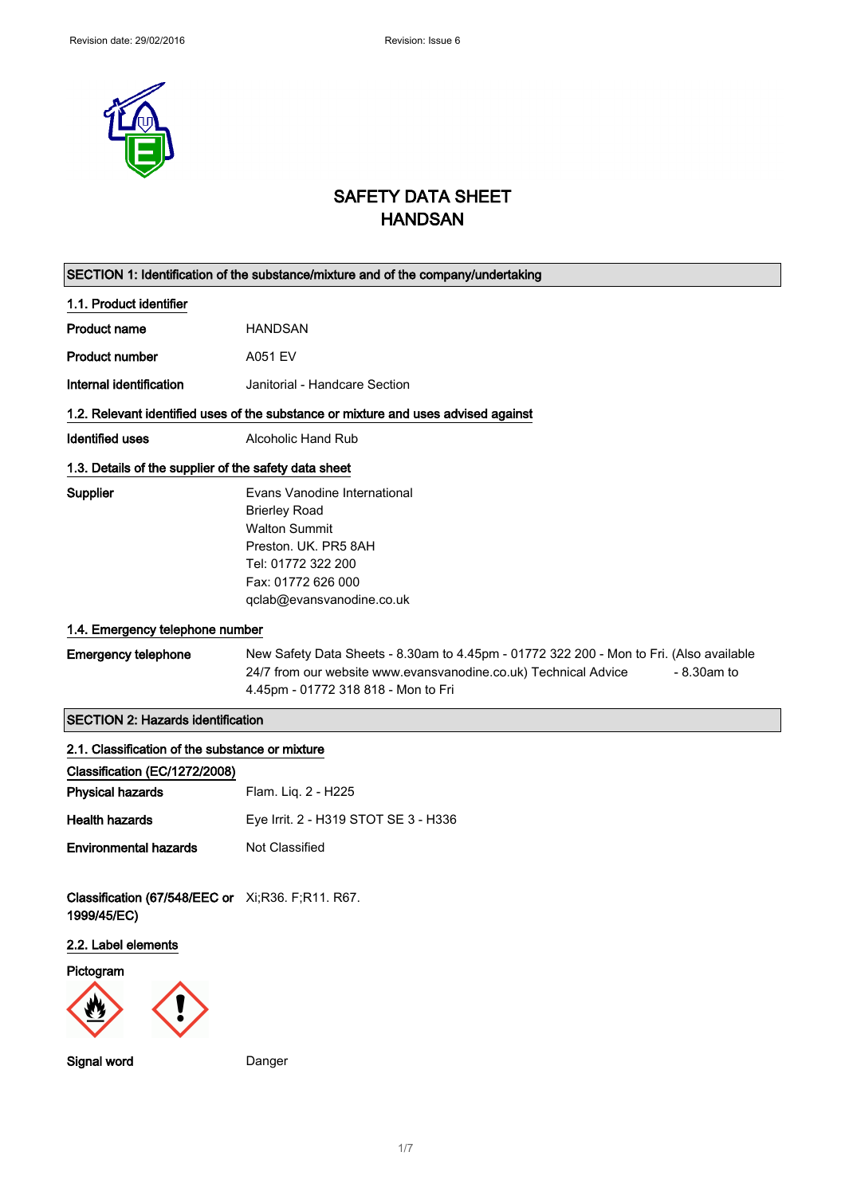

# SAFETY DATA SHEET HANDSAN

|                                                                  | SECTION 1: Identification of the substance/mixture and of the company/undertaking                                                                                                                                  |  |
|------------------------------------------------------------------|--------------------------------------------------------------------------------------------------------------------------------------------------------------------------------------------------------------------|--|
| 1.1. Product identifier                                          |                                                                                                                                                                                                                    |  |
| <b>Product name</b>                                              | <b>HANDSAN</b>                                                                                                                                                                                                     |  |
| <b>Product number</b>                                            | A051 EV                                                                                                                                                                                                            |  |
| Internal identification                                          | Janitorial - Handcare Section                                                                                                                                                                                      |  |
|                                                                  | 1.2. Relevant identified uses of the substance or mixture and uses advised against                                                                                                                                 |  |
| <b>Identified uses</b>                                           | Alcoholic Hand Rub                                                                                                                                                                                                 |  |
| 1.3. Details of the supplier of the safety data sheet            |                                                                                                                                                                                                                    |  |
| Supplier                                                         | Evans Vanodine International<br><b>Brierley Road</b><br><b>Walton Summit</b><br>Preston. UK. PR5 8AH<br>Tel: 01772 322 200<br>Fax: 01772 626 000<br>qclab@evansvanodine.co.uk                                      |  |
| 1.4. Emergency telephone number                                  |                                                                                                                                                                                                                    |  |
| <b>Emergency telephone</b>                                       | New Safety Data Sheets - 8.30am to 4.45pm - 01772 322 200 - Mon to Fri. (Also available<br>24/7 from our website www.evansvanodine.co.uk) Technical Advice<br>$-8.30$ am to<br>4.45pm - 01772 318 818 - Mon to Fri |  |
| <b>SECTION 2: Hazards identification</b>                         |                                                                                                                                                                                                                    |  |
| 2.1. Classification of the substance or mixture                  |                                                                                                                                                                                                                    |  |
| Classification (EC/1272/2008)                                    |                                                                                                                                                                                                                    |  |
| <b>Physical hazards</b>                                          | Flam. Liq. 2 - H225                                                                                                                                                                                                |  |
| <b>Health hazards</b>                                            | Eye Irrit. 2 - H319 STOT SE 3 - H336                                                                                                                                                                               |  |
| <b>Environmental hazards</b>                                     | <b>Not Classified</b>                                                                                                                                                                                              |  |
| Classification (67/548/EEC or Xi;R36. F;R11. R67.<br>1999/45/EC) |                                                                                                                                                                                                                    |  |
| 2.2. Label elements                                              |                                                                                                                                                                                                                    |  |
| Pictogram                                                        |                                                                                                                                                                                                                    |  |
| Signal word                                                      | Danger                                                                                                                                                                                                             |  |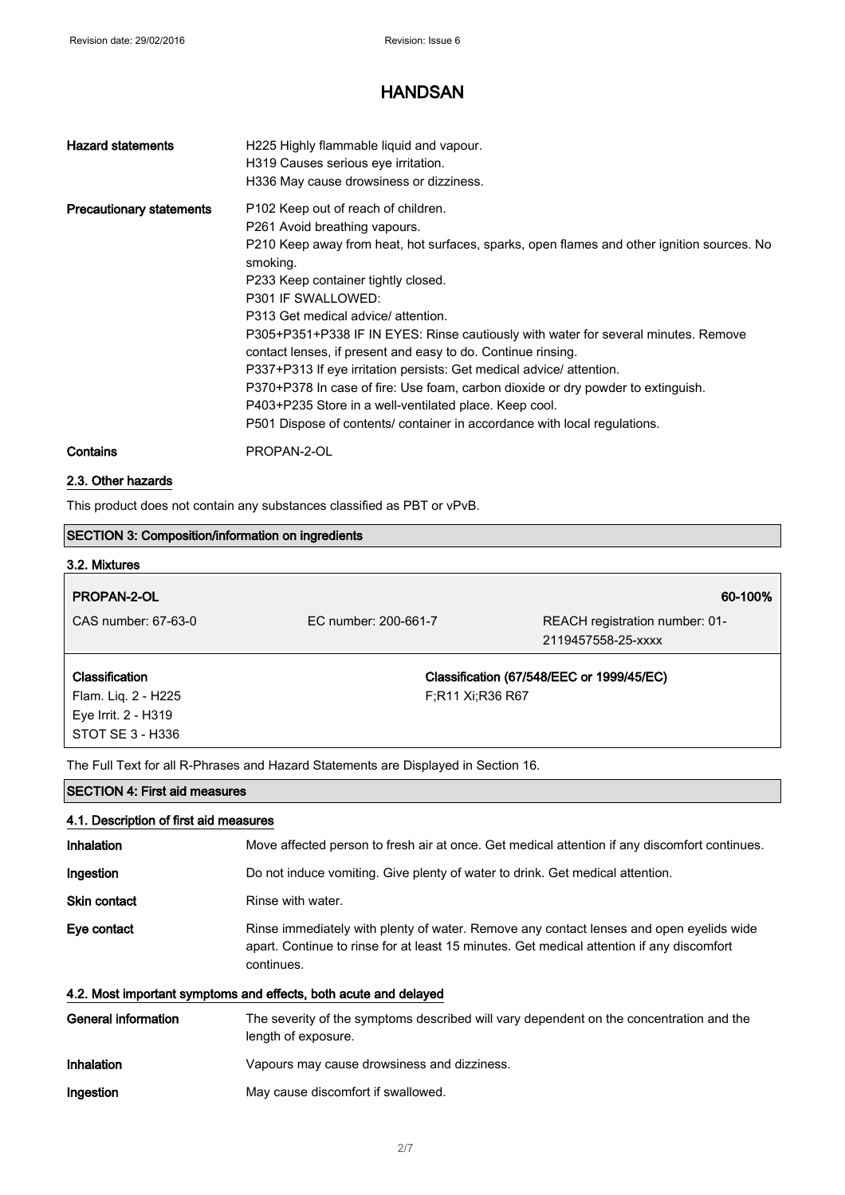| <b>Hazard statements</b>        | H225 Highly flammable liquid and vapour.<br>H319 Causes serious eye irritation.<br>H336 May cause drowsiness or dizziness.                                                                                                                                                                                                                                                                                                                                                                                                                                                                                                                                                                                                                  |
|---------------------------------|---------------------------------------------------------------------------------------------------------------------------------------------------------------------------------------------------------------------------------------------------------------------------------------------------------------------------------------------------------------------------------------------------------------------------------------------------------------------------------------------------------------------------------------------------------------------------------------------------------------------------------------------------------------------------------------------------------------------------------------------|
| <b>Precautionary statements</b> | P102 Keep out of reach of children.<br>P261 Avoid breathing vapours.<br>P210 Keep away from heat, hot surfaces, sparks, open flames and other ignition sources. No<br>smoking.<br>P233 Keep container tightly closed.<br>P301 IF SWALLOWED:<br>P313 Get medical advice/ attention.<br>P305+P351+P338 IF IN EYES: Rinse cautiously with water for several minutes. Remove<br>contact lenses, if present and easy to do. Continue rinsing.<br>P337+P313 If eye irritation persists: Get medical advice/ attention.<br>P370+P378 In case of fire: Use foam, carbon dioxide or dry powder to extinguish.<br>P403+P235 Store in a well-ventilated place. Keep cool.<br>P501 Dispose of contents/ container in accordance with local regulations. |
| Contains                        | PROPAN-2-OL                                                                                                                                                                                                                                                                                                                                                                                                                                                                                                                                                                                                                                                                                                                                 |

### 2.3. Other hazards

This product does not contain any substances classified as PBT or vPvB.

| <b>SECTION 3: Composition/information on ingredients</b>                           |                      |                                           |
|------------------------------------------------------------------------------------|----------------------|-------------------------------------------|
| 3.2. Mixtures                                                                      |                      |                                           |
| <b>PROPAN-2-OL</b>                                                                 |                      | 60-100%                                   |
| CAS number: 67-63-0                                                                | FC number: 200-661-7 | REACH registration number: 01-            |
|                                                                                    |                      | 2119457558-25-xxxx                        |
| <b>Classification</b>                                                              |                      | Classification (67/548/EEC or 1999/45/EC) |
| Flam. Liq. 2 - H225                                                                | F;R11 Xi;R36 R67     |                                           |
| Eye Irrit. 2 - H319                                                                |                      |                                           |
| STOT SE 3 - H336                                                                   |                      |                                           |
| The Full Text for all R-Phrases and Hazard Statements are Displayed in Section 16. |                      |                                           |

| <b>SECTION 4: First aid measures</b><br>4.1. Description of first aid measures |                                                                                                                                                                                                    |
|--------------------------------------------------------------------------------|----------------------------------------------------------------------------------------------------------------------------------------------------------------------------------------------------|
|                                                                                |                                                                                                                                                                                                    |
| Ingestion                                                                      | Do not induce vomiting. Give plenty of water to drink. Get medical attention.                                                                                                                      |
| <b>Skin contact</b>                                                            | Rinse with water.                                                                                                                                                                                  |
| Eye contact                                                                    | Rinse immediately with plenty of water. Remove any contact lenses and open eyelids wide<br>apart. Continue to rinse for at least 15 minutes. Get medical attention if any discomfort<br>continues. |
|                                                                                | 4.2. Most important symptoms and effects, both acute and delayed                                                                                                                                   |

| General information | The severity of the symptoms described will vary dependent on the concentration and the<br>length of exposure. |
|---------------------|----------------------------------------------------------------------------------------------------------------|
| Inhalation          | Vapours may cause drowsiness and dizziness.                                                                    |
| Ingestion           | May cause discomfort if swallowed.                                                                             |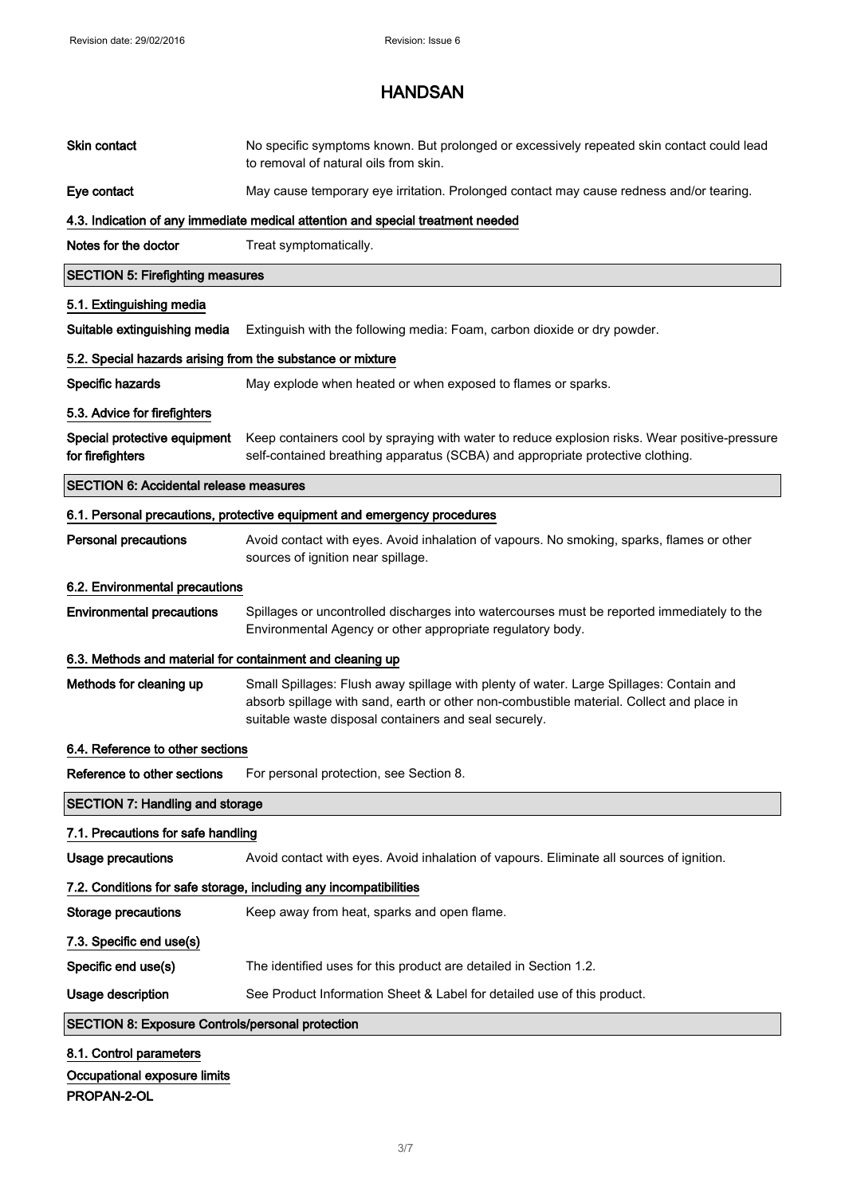| Skin contact                                               | No specific symptoms known. But prolonged or excessively repeated skin contact could lead<br>to removal of natural oils from skin.                                                                                                           |  |  |
|------------------------------------------------------------|----------------------------------------------------------------------------------------------------------------------------------------------------------------------------------------------------------------------------------------------|--|--|
| Eye contact                                                | May cause temporary eye irritation. Prolonged contact may cause redness and/or tearing.                                                                                                                                                      |  |  |
|                                                            | 4.3. Indication of any immediate medical attention and special treatment needed                                                                                                                                                              |  |  |
| Notes for the doctor                                       | Treat symptomatically.                                                                                                                                                                                                                       |  |  |
| <b>SECTION 5: Firefighting measures</b>                    |                                                                                                                                                                                                                                              |  |  |
| 5.1. Extinguishing media                                   |                                                                                                                                                                                                                                              |  |  |
| Suitable extinguishing media                               | Extinguish with the following media: Foam, carbon dioxide or dry powder.                                                                                                                                                                     |  |  |
| 5.2. Special hazards arising from the substance or mixture |                                                                                                                                                                                                                                              |  |  |
| Specific hazards                                           | May explode when heated or when exposed to flames or sparks.                                                                                                                                                                                 |  |  |
| 5.3. Advice for firefighters                               |                                                                                                                                                                                                                                              |  |  |
| Special protective equipment<br>for firefighters           | Keep containers cool by spraying with water to reduce explosion risks. Wear positive-pressure<br>self-contained breathing apparatus (SCBA) and appropriate protective clothing.                                                              |  |  |
| <b>SECTION 6: Accidental release measures</b>              |                                                                                                                                                                                                                                              |  |  |
|                                                            | 6.1. Personal precautions, protective equipment and emergency procedures                                                                                                                                                                     |  |  |
| <b>Personal precautions</b>                                | Avoid contact with eyes. Avoid inhalation of vapours. No smoking, sparks, flames or other<br>sources of ignition near spillage.                                                                                                              |  |  |
| 6.2. Environmental precautions                             |                                                                                                                                                                                                                                              |  |  |
| <b>Environmental precautions</b>                           | Spillages or uncontrolled discharges into watercourses must be reported immediately to the<br>Environmental Agency or other appropriate regulatory body.                                                                                     |  |  |
| 6.3. Methods and material for containment and cleaning up  |                                                                                                                                                                                                                                              |  |  |
| Methods for cleaning up                                    | Small Spillages: Flush away spillage with plenty of water. Large Spillages: Contain and<br>absorb spillage with sand, earth or other non-combustible material. Collect and place in<br>suitable waste disposal containers and seal securely. |  |  |
| 6.4. Reference to other sections                           |                                                                                                                                                                                                                                              |  |  |
| Reference to other sections                                | For personal protection, see Section 8.                                                                                                                                                                                                      |  |  |
| <b>SECTION 7: Handling and storage</b>                     |                                                                                                                                                                                                                                              |  |  |
| 7.1. Precautions for safe handling                         |                                                                                                                                                                                                                                              |  |  |
| <b>Usage precautions</b>                                   | Avoid contact with eyes. Avoid inhalation of vapours. Eliminate all sources of ignition.                                                                                                                                                     |  |  |
|                                                            | 7.2. Conditions for safe storage, including any incompatibilities                                                                                                                                                                            |  |  |
| <b>Storage precautions</b>                                 | Keep away from heat, sparks and open flame.                                                                                                                                                                                                  |  |  |
| 7.3. Specific end use(s)                                   |                                                                                                                                                                                                                                              |  |  |
| Specific end use(s)                                        | The identified uses for this product are detailed in Section 1.2.                                                                                                                                                                            |  |  |
| Usage description                                          | See Product Information Sheet & Label for detailed use of this product.                                                                                                                                                                      |  |  |
| <b>SECTION 8: Exposure Controls/personal protection</b>    |                                                                                                                                                                                                                                              |  |  |
| 8.1. Control parameters                                    |                                                                                                                                                                                                                                              |  |  |
| Occupational exposure limits                               |                                                                                                                                                                                                                                              |  |  |

PROPAN-2-OL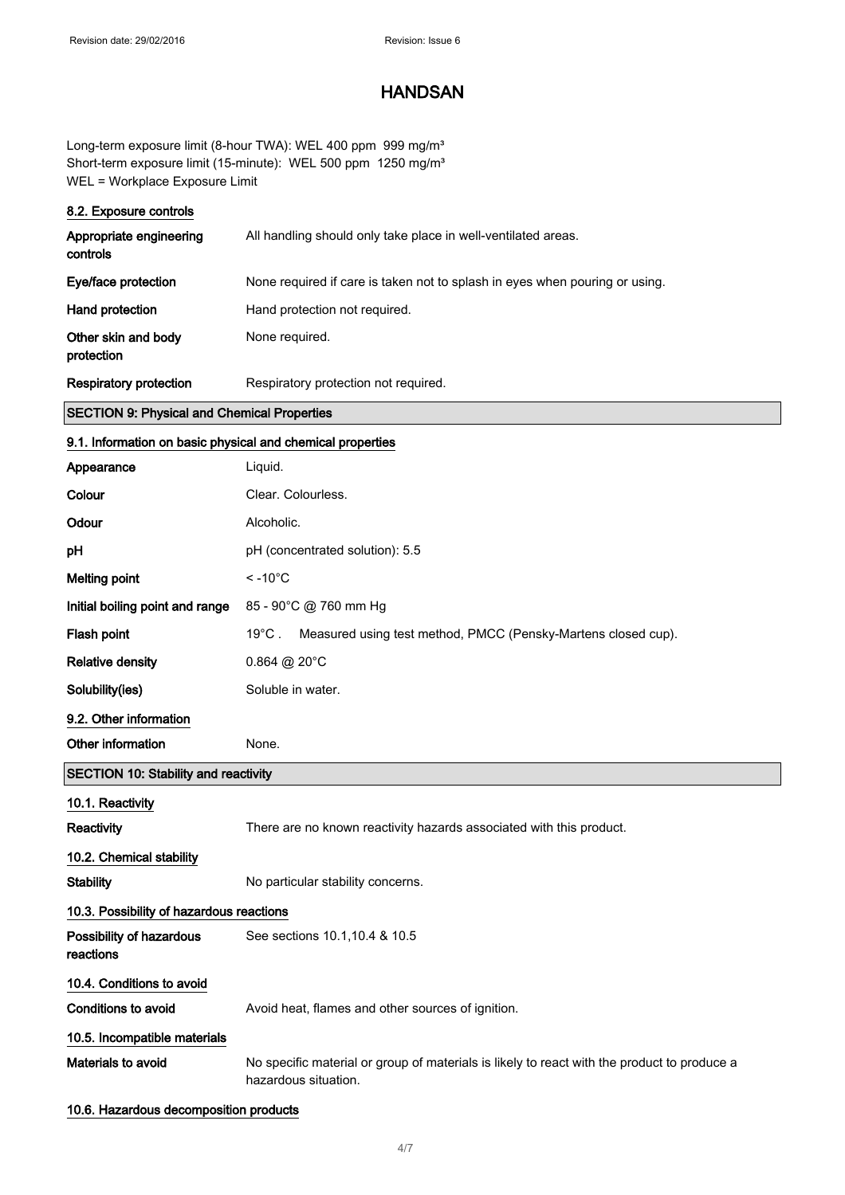Long-term exposure limit (8-hour TWA): WEL 400 ppm 999 mg/m<sup>3</sup> Short-term exposure limit (15-minute): WEL 500 ppm 1250 mg/m<sup>3</sup> WEL = Workplace Exposure Limit

#### 8.2. Exposure controls

| Appropriate engineering<br>controls | All handling should only take place in well-ventilated areas.               |
|-------------------------------------|-----------------------------------------------------------------------------|
| Eye/face protection                 | None required if care is taken not to splash in eyes when pouring or using. |
| Hand protection                     | Hand protection not required.                                               |
| Other skin and body<br>protection   | None required.                                                              |
| <b>Respiratory protection</b>       | Respiratory protection not required.                                        |

#### SECTION 9: Physical and Chemical Properties

### 9.1. Information on basic physical and chemical properties

| Appearance                                  | Liquid.                                                                                                             |  |
|---------------------------------------------|---------------------------------------------------------------------------------------------------------------------|--|
| Colour                                      | Clear. Colourless.                                                                                                  |  |
| Odour                                       | Alcoholic.                                                                                                          |  |
| pH                                          | pH (concentrated solution): 5.5                                                                                     |  |
| <b>Melting point</b>                        | $< -10^{\circ}$ C                                                                                                   |  |
| Initial boiling point and range             | 85 - 90°C @ 760 mm Hg                                                                                               |  |
| Flash point                                 | Measured using test method, PMCC (Pensky-Martens closed cup).<br>$19^{\circ}$ C .                                   |  |
| <b>Relative density</b>                     | $0.864 \ @ 20^{\circ}$ C                                                                                            |  |
| Solubility(ies)                             | Soluble in water.                                                                                                   |  |
| 9.2. Other information                      |                                                                                                                     |  |
| Other information                           | None.                                                                                                               |  |
| <b>SECTION 10: Stability and reactivity</b> |                                                                                                                     |  |
| 10.1. Reactivity                            |                                                                                                                     |  |
| Reactivity                                  | There are no known reactivity hazards associated with this product.                                                 |  |
| 10.2. Chemical stability                    |                                                                                                                     |  |
| <b>Stability</b>                            | No particular stability concerns.                                                                                   |  |
| 10.3. Possibility of hazardous reactions    |                                                                                                                     |  |
| Possibility of hazardous<br>reactions       | See sections 10.1, 10.4 & 10.5                                                                                      |  |
| 10.4. Conditions to avoid                   |                                                                                                                     |  |
| <b>Conditions to avoid</b>                  | Avoid heat, flames and other sources of ignition.                                                                   |  |
| 10.5. Incompatible materials                |                                                                                                                     |  |
| Materials to avoid                          | No specific material or group of materials is likely to react with the product to produce a<br>hazardous situation. |  |
|                                             |                                                                                                                     |  |

#### 10.6. Hazardous decomposition products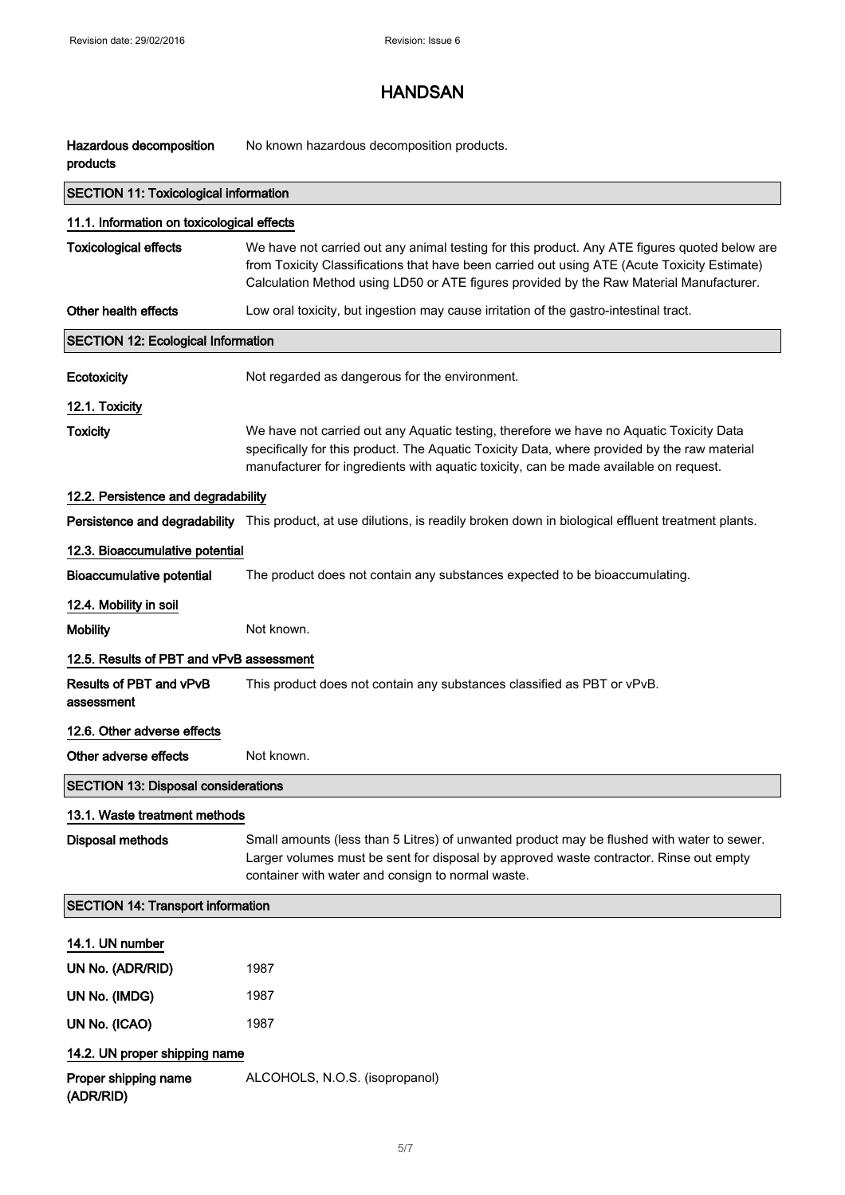| Hazardous decomposition<br>products          | No known hazardous decomposition products.                                                                                                                                                                                                                                               |  |
|----------------------------------------------|------------------------------------------------------------------------------------------------------------------------------------------------------------------------------------------------------------------------------------------------------------------------------------------|--|
| <b>SECTION 11: Toxicological information</b> |                                                                                                                                                                                                                                                                                          |  |
| 11.1. Information on toxicological effects   |                                                                                                                                                                                                                                                                                          |  |
| <b>Toxicological effects</b>                 | We have not carried out any animal testing for this product. Any ATE figures quoted below are<br>from Toxicity Classifications that have been carried out using ATE (Acute Toxicity Estimate)<br>Calculation Method using LD50 or ATE figures provided by the Raw Material Manufacturer. |  |
| Other health effects                         | Low oral toxicity, but ingestion may cause irritation of the gastro-intestinal tract.                                                                                                                                                                                                    |  |
| <b>SECTION 12: Ecological Information</b>    |                                                                                                                                                                                                                                                                                          |  |
| Ecotoxicity                                  | Not regarded as dangerous for the environment.                                                                                                                                                                                                                                           |  |
| 12.1. Toxicity                               |                                                                                                                                                                                                                                                                                          |  |
| <b>Toxicity</b>                              | We have not carried out any Aquatic testing, therefore we have no Aquatic Toxicity Data<br>specifically for this product. The Aquatic Toxicity Data, where provided by the raw material<br>manufacturer for ingredients with aquatic toxicity, can be made available on request.         |  |
| 12.2. Persistence and degradability          |                                                                                                                                                                                                                                                                                          |  |
|                                              | Persistence and degradability This product, at use dilutions, is readily broken down in biological effluent treatment plants.                                                                                                                                                            |  |
| 12.3. Bioaccumulative potential              |                                                                                                                                                                                                                                                                                          |  |
| <b>Bioaccumulative potential</b>             | The product does not contain any substances expected to be bioaccumulating.                                                                                                                                                                                                              |  |
| 12.4. Mobility in soil                       |                                                                                                                                                                                                                                                                                          |  |
| <b>Mobility</b>                              | Not known.                                                                                                                                                                                                                                                                               |  |
| 12.5. Results of PBT and vPvB assessment     |                                                                                                                                                                                                                                                                                          |  |
| Results of PBT and vPvB<br>assessment        | This product does not contain any substances classified as PBT or vPvB.                                                                                                                                                                                                                  |  |
| 12.6. Other adverse effects                  |                                                                                                                                                                                                                                                                                          |  |
| Other adverse effects                        | Not known.                                                                                                                                                                                                                                                                               |  |
| <b>SECTION 13: Disposal considerations</b>   |                                                                                                                                                                                                                                                                                          |  |
| 13.1. Waste treatment methods                |                                                                                                                                                                                                                                                                                          |  |
| <b>Disposal methods</b>                      | Small amounts (less than 5 Litres) of unwanted product may be flushed with water to sewer.<br>Larger volumes must be sent for disposal by approved waste contractor. Rinse out empty<br>container with water and consign to normal waste.                                                |  |
| <b>SECTION 14: Transport information</b>     |                                                                                                                                                                                                                                                                                          |  |
| 14.1. UN number                              |                                                                                                                                                                                                                                                                                          |  |
| UN No. (ADR/RID)                             | 1987                                                                                                                                                                                                                                                                                     |  |
| UN No. (IMDG)                                | 1987                                                                                                                                                                                                                                                                                     |  |
| UN No. (ICAO)                                | 1987                                                                                                                                                                                                                                                                                     |  |
| 14.2. UN proper shipping name                |                                                                                                                                                                                                                                                                                          |  |
| Proper shipping name<br>(ADR/RID)            | ALCOHOLS, N.O.S. (isopropanol)                                                                                                                                                                                                                                                           |  |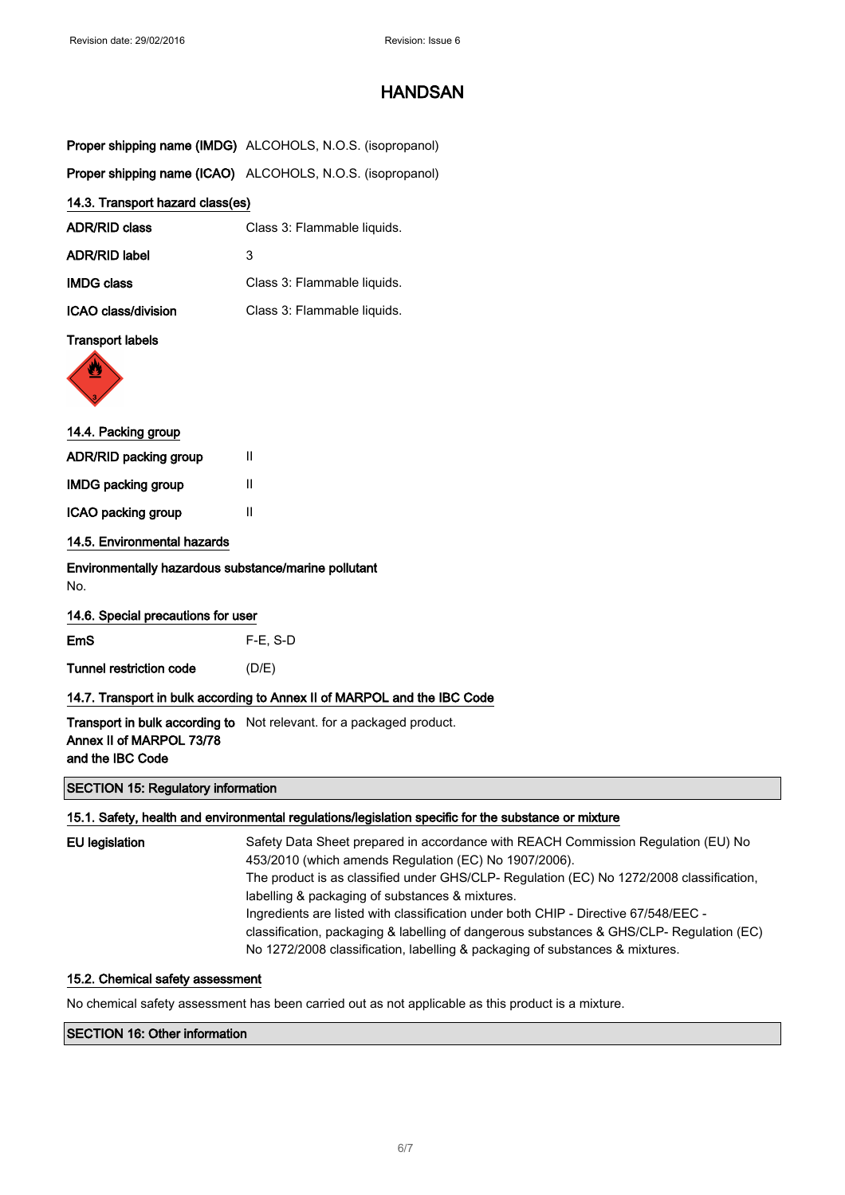|                                                             | Proper shipping name (IMDG) ALCOHOLS, N.O.S. (isopropanol)                      |
|-------------------------------------------------------------|---------------------------------------------------------------------------------|
|                                                             | Proper shipping name (ICAO) ALCOHOLS, N.O.S. (isopropanol)                      |
| 14.3. Transport hazard class(es)                            |                                                                                 |
| <b>ADR/RID class</b>                                        | Class 3: Flammable liquids.                                                     |
| <b>ADR/RID label</b>                                        | 3                                                                               |
| <b>IMDG class</b>                                           | Class 3: Flammable liquids.                                                     |
| ICAO class/division                                         | Class 3: Flammable liquids.                                                     |
| <b>Transport labels</b>                                     |                                                                                 |
|                                                             |                                                                                 |
| 14.4. Packing group                                         |                                                                                 |
| ADR/RID packing group                                       | Ш                                                                               |
| <b>IMDG packing group</b>                                   | Ш                                                                               |
| ICAO packing group                                          | Ш                                                                               |
| 14.5. Environmental hazards                                 |                                                                                 |
| Environmentally hazardous substance/marine pollutant<br>No. |                                                                                 |
| 14.6. Special precautions for user                          |                                                                                 |
| EmS                                                         | $F-E$ , S-D                                                                     |
| <b>Tunnel restriction code</b>                              | (D/E)                                                                           |
|                                                             | 14.7. Transport in bulk according to Annex II of MARPOL and the IBC Code        |
| Annex II of MARPOL 73/78<br>and the IBC Code                | Transport in bulk according to Not relevant. for a packaged product.            |
| <b>SECTION 15: Regulatory information</b>                   |                                                                                 |
|                                                             | 15.1. Safety, health and environmental regulations/legislation specific for the |

## for the substance or mixture EU legislation Safety Data Sheet prepared in accordance with REACH Commission Regulation (EU) No 453/2010 (which amends Regulation (EC) No 1907/2006). The product is as classified under GHS/CLP- Regulation (EC) No 1272/2008 classification, labelling & packaging of substances & mixtures. Ingredients are listed with classification under both CHIP - Directive 67/548/EEC -

classification, packaging & labelling of dangerous substances & GHS/CLP- Regulation (EC) No 1272/2008 classification, labelling & packaging of substances & mixtures.

#### 15.2. Chemical safety assessment

No chemical safety assessment has been carried out as not applicable as this product is a mixture.

### SECTION 16: Other information